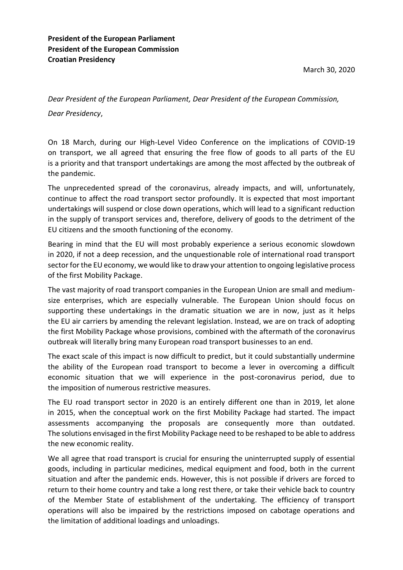*Dear President of the European Parliament, Dear President of the European Commission, Dear Presidency*,

On 18 March, during our High-Level Video Conference on the implications of COVID-19 on transport, we all agreed that ensuring the free flow of goods to all parts of the EU is a priority and that transport undertakings are among the most affected by the outbreak of the pandemic.

The unprecedented spread of the coronavirus, already impacts, and will, unfortunately, continue to affect the road transport sector profoundly. It is expected that most important undertakings will suspend or close down operations, which will lead to a significant reduction in the supply of transport services and, therefore, delivery of goods to the detriment of the EU citizens and the smooth functioning of the economy.

Bearing in mind that the EU will most probably experience a serious economic slowdown in 2020, if not a deep recession, and the unquestionable role of international road transport sector for the EU economy, we would like to draw your attention to ongoing legislative process of the first Mobility Package.

The vast majority of road transport companies in the European Union are small and mediumsize enterprises, which are especially vulnerable. The European Union should focus on supporting these undertakings in the dramatic situation we are in now, just as it helps the EU air carriers by amending the relevant legislation. Instead, we are on track of adopting the first Mobility Package whose provisions, combined with the aftermath of the coronavirus outbreak will literally bring many European road transport businesses to an end.

The exact scale of this impact is now difficult to predict, but it could substantially undermine the ability of the European road transport to become a lever in overcoming a difficult economic situation that we will experience in the post-coronavirus period, due to the imposition of numerous restrictive measures.

The EU road transport sector in 2020 is an entirely different one than in 2019, let alone in 2015, when the conceptual work on the first Mobility Package had started. The impact assessments accompanying the proposals are consequently more than outdated. The solutions envisaged in the first Mobility Package need to be reshaped to be able to address the new economic reality.

We all agree that road transport is crucial for ensuring the uninterrupted supply of essential goods, including in particular medicines, medical equipment and food, both in the current situation and after the pandemic ends. However, this is not possible if drivers are forced to return to their home country and take a long rest there, or take their vehicle back to country of the Member State of establishment of the undertaking. The efficiency of transport operations will also be impaired by the restrictions imposed on cabotage operations and the limitation of additional loadings and unloadings.